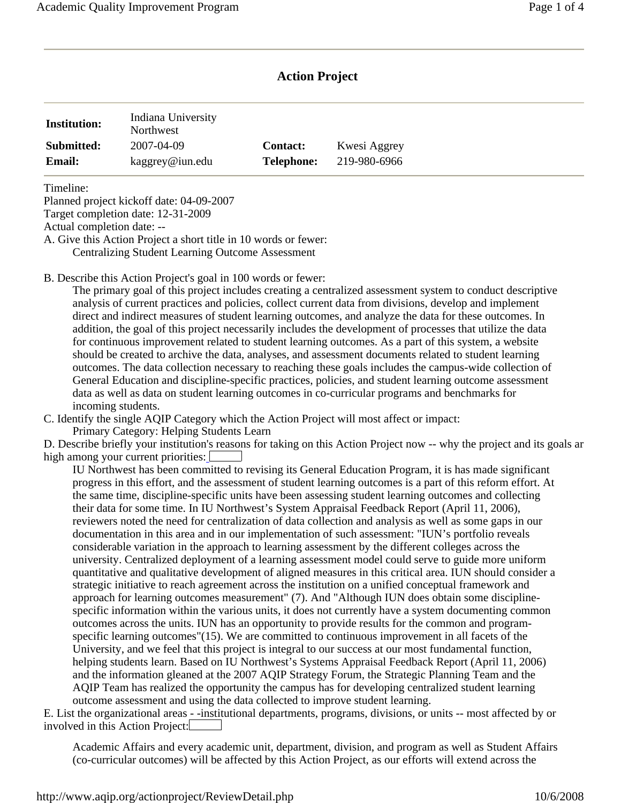# **Action Project**

| <b>Institution:</b> | Indiana University<br>Northwest |                 |              |
|---------------------|---------------------------------|-----------------|--------------|
| Submitted:          | 2007-04-09                      | <b>Contact:</b> | Kwesi Aggrey |
| <b>Email:</b>       | kaggrey@iun.edu                 | Telephone:      | 219-980-6966 |

Timeline:

Planned project kickoff date: 04-09-2007 Target completion date: 12-31-2009 Actual completion date: --

A. Give this Action Project a short title in 10 words or fewer: Centralizing Student Learning Outcome Assessment

B. Describe this Action Project's goal in 100 words or fewer:

The primary goal of this project includes creating a centralized assessment system to conduct descriptive analysis of current practices and policies, collect current data from divisions, develop and implement direct and indirect measures of student learning outcomes, and analyze the data for these outcomes. In addition, the goal of this project necessarily includes the development of processes that utilize the data for continuous improvement related to student learning outcomes. As a part of this system, a website should be created to archive the data, analyses, and assessment documents related to student learning outcomes. The data collection necessary to reaching these goals includes the campus-wide collection of General Education and discipline-specific practices, policies, and student learning outcome assessment data as well as data on student learning outcomes in co-curricular programs and benchmarks for incoming students.

C. Identify the single AQIP Category which the Action Project will most affect or impact: Primary Category: Helping Students Learn

D. Describe briefly your institution's reasons for taking on this Action Project now -- why the project and its goals ar high among your current priorities:

IU Northwest has been committed to revising its General Education Program, it is has made significant progress in this effort, and the assessment of student learning outcomes is a part of this reform effort. At the same time, discipline-specific units have been assessing student learning outcomes and collecting their data for some time. In IU Northwest's System Appraisal Feedback Report (April 11, 2006), reviewers noted the need for centralization of data collection and analysis as well as some gaps in our documentation in this area and in our implementation of such assessment: "IUN's portfolio reveals considerable variation in the approach to learning assessment by the different colleges across the university. Centralized deployment of a learning assessment model could serve to guide more uniform quantitative and qualitative development of aligned measures in this critical area. IUN should consider a strategic initiative to reach agreement across the institution on a unified conceptual framework and approach for learning outcomes measurement" (7). And "Although IUN does obtain some disciplinespecific information within the various units, it does not currently have a system documenting common outcomes across the units. IUN has an opportunity to provide results for the common and programspecific learning outcomes"(15). We are committed to continuous improvement in all facets of the University, and we feel that this project is integral to our success at our most fundamental function, helping students learn. Based on IU Northwest's Systems Appraisal Feedback Report (April 11, 2006) and the information gleaned at the 2007 AQIP Strategy Forum, the Strategic Planning Team and the AQIP Team has realized the opportunity the campus has for developing centralized student learning outcome assessment and using the data collected to improve student learning.

E. List the organizational areas - -institutional departments, programs, divisions, or units -- most affected by or involved in this Action Project:

Academic Affairs and every academic unit, department, division, and program as well as Student Affairs (co-curricular outcomes) will be affected by this Action Project, as our efforts will extend across the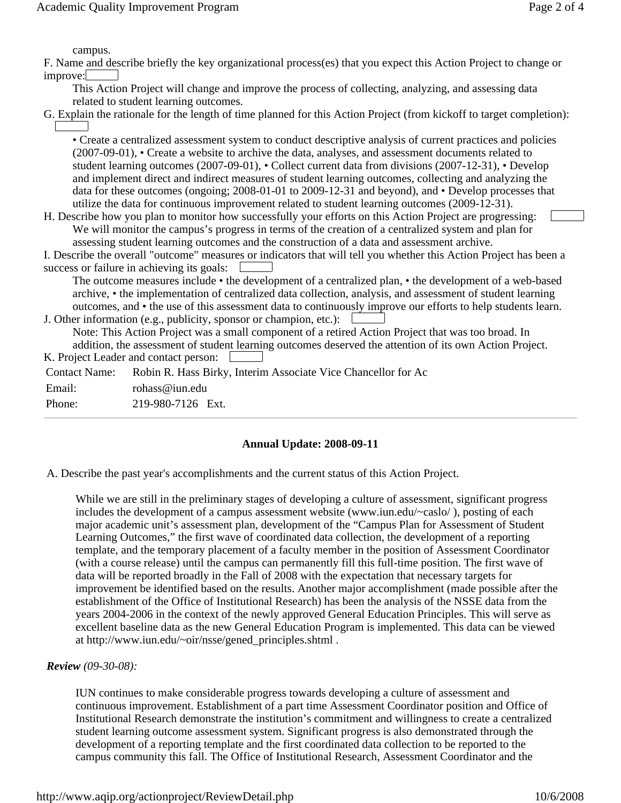campus.

F. Name and describe briefly the key organizational process(es) that you expect this Action Project to change or improve:

This Action Project will change and improve the process of collecting, analyzing, and assessing data related to student learning outcomes.

G. Explain the rationale for the length of time planned for this Action Project (from kickoff to target completion):

• Create a centralized assessment system to conduct descriptive analysis of current practices and policies (2007-09-01), • Create a website to archive the data, analyses, and assessment documents related to student learning outcomes (2007-09-01), • Collect current data from divisions (2007-12-31), • Develop and implement direct and indirect measures of student learning outcomes, collecting and analyzing the data for these outcomes (ongoing; 2008-01-01 to 2009-12-31 and beyond), and • Develop processes that utilize the data for continuous improvement related to student learning outcomes (2009-12-31).

H. Describe how you plan to monitor how successfully your efforts on this Action Project are progressing: We will monitor the campus's progress in terms of the creation of a centralized system and plan for assessing student learning outcomes and the construction of a data and assessment archive.

 success or failure in achieving its goals: I. Describe the overall "outcome" measures or indicators that will tell you whether this Action Project has been a

The outcome measures include • the development of a centralized plan, • the development of a web-based archive, • the implementation of centralized data collection, analysis, and assessment of student learning outcomes, and • the use of this assessment data to continuously improve our efforts to help students learn.

 J. Other information (e.g., publicity, sponsor or champion, etc.): Note: This Action Project was a small component of a retired Action Project that was too broad. In addition, the assessment of student learning outcomes deserved the attention of its own Action Project.

K. Project Leader and contact person:

| <b>Contact Name:</b> | Robin R. Hass Birky, Interim Associate Vice Chancellor for Ac |
|----------------------|---------------------------------------------------------------|
| Email:               | rohass@iun.edu                                                |
| Phone:               | 219-980-7126 Ext.                                             |

# **Annual Update: 2008-09-11**

A. Describe the past year's accomplishments and the current status of this Action Project.

 excellent baseline data as the new General Education Program is implemented. This data can be viewed While we are still in the preliminary stages of developing a culture of assessment, significant progress includes the development of a campus assessment website (www.iun.edu/~caslo/ ), posting of each major academic unit's assessment plan, development of the "Campus Plan for Assessment of Student Learning Outcomes," the first wave of coordinated data collection, the development of a reporting template, and the temporary placement of a faculty member in the position of Assessment Coordinator (with a course release) until the campus can permanently fill this full-time position. The first wave of data will be reported broadly in the Fall of 2008 with the expectation that necessary targets for improvement be identified based on the results. Another major accomplishment (made possible after the establishment of the Office of Institutional Research) has been the analysis of the NSSE data from the years 2004-2006 in the context of the newly approved General Education Principles. This will serve as at http://www.iun.edu/~oir/nsse/gened\_principles.shtml .

# *Review (09-30-08):*

IUN continues to make considerable progress towards developing a culture of assessment and continuous improvement. Establishment of a part time Assessment Coordinator position and Office of Institutional Research demonstrate the institution's commitment and willingness to create a centralized student learning outcome assessment system. Significant progress is also demonstrated through the development of a reporting template and the first coordinated data collection to be reported to the campus community this fall. The Office of Institutional Research, Assessment Coordinator and the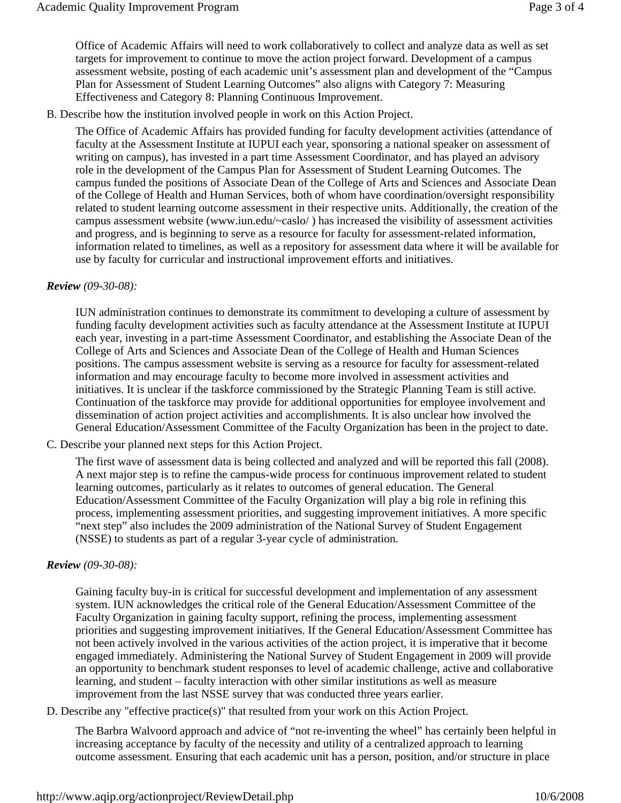Office of Academic Affairs will need to work collaboratively to collect and analyze data as well as set targets for improvement to continue to move the action project forward. Development of a campus assessment website, posting of each academic unit's assessment plan and development of the "Campus Plan for Assessment of Student Learning Outcomes" also aligns with Category 7: Measuring Effectiveness and Category 8: Planning Continuous Improvement.

B. Describe how the institution involved people in work on this Action Project.

The Office of Academic Affairs has provided funding for faculty development activities (attendance of faculty at the Assessment Institute at IUPUI each year, sponsoring a national speaker on assessment of writing on campus), has invested in a part time Assessment Coordinator, and has played an advisory role in the development of the Campus Plan for Assessment of Student Learning Outcomes. The campus funded the positions of Associate Dean of the College of Arts and Sciences and Associate Dean of the College of Health and Human Services, both of whom have coordination/oversight responsibility related to student learning outcome assessment in their respective units. Additionally, the creation of the campus assessment website (www.iun.edu/~caslo/ ) has increased the visibility of assessment activities and progress, and is beginning to serve as a resource for faculty for assessment-related information, information related to timelines, as well as a repository for assessment data where it will be available for use by faculty for curricular and instructional improvement efforts and initiatives.

#### *Review (09-30-08):*

IUN administration continues to demonstrate its commitment to developing a culture of assessment by funding faculty development activities such as faculty attendance at the Assessment Institute at IUPUI each year, investing in a part-time Assessment Coordinator, and establishing the Associate Dean of the College of Arts and Sciences and Associate Dean of the College of Health and Human Sciences positions. The campus assessment website is serving as a resource for faculty for assessment-related information and may encourage faculty to become more involved in assessment activities and initiatives. It is unclear if the taskforce commissioned by the Strategic Planning Team is still active. Continuation of the taskforce may provide for additional opportunities for employee involvement and dissemination of action project activities and accomplishments. It is also unclear how involved the General Education/Assessment Committee of the Faculty Organization has been in the project to date.

C. Describe your planned next steps for this Action Project.

The first wave of assessment data is being collected and analyzed and will be reported this fall (2008). A next major step is to refine the campus-wide process for continuous improvement related to student learning outcomes, particularly as it relates to outcomes of general education. The General Education/Assessment Committee of the Faculty Organization will play a big role in refining this process, implementing assessment priorities, and suggesting improvement initiatives. A more specific "next step" also includes the 2009 administration of the National Survey of Student Engagement (NSSE) to students as part of a regular 3-year cycle of administration.

#### *Review (09-30-08):*

Gaining faculty buy-in is critical for successful development and implementation of any assessment system. IUN acknowledges the critical role of the General Education/Assessment Committee of the Faculty Organization in gaining faculty support, refining the process, implementing assessment priorities and suggesting improvement initiatives. If the General Education/Assessment Committee has not been actively involved in the various activities of the action project, it is imperative that it become engaged immediately. Administering the National Survey of Student Engagement in 2009 will provide an opportunity to benchmark student responses to level of academic challenge, active and collaborative learning, and student – faculty interaction with other similar institutions as well as measure improvement from the last NSSE survey that was conducted three years earlier.

D. Describe any "effective practice(s)" that resulted from your work on this Action Project.

The Barbra Walvoord approach and advice of "not re-inventing the wheel" has certainly been helpful in increasing acceptance by faculty of the necessity and utility of a centralized approach to learning outcome assessment. Ensuring that each academic unit has a person, position, and/or structure in place